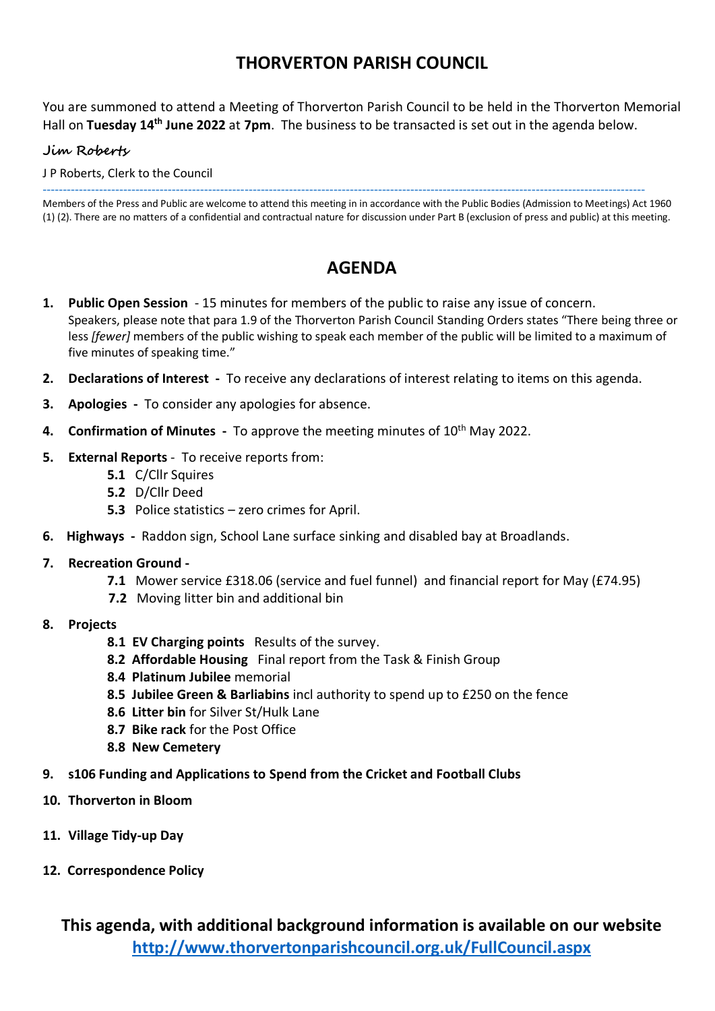## **THORVERTON PARISH COUNCIL**

You are summoned to attend a Meeting of Thorverton Parish Council to be held in the Thorverton Memorial Hall on **Tuesday 14th June 2022** at **7pm**. The business to be transacted is set out in the agenda below.

### **Jim Roberts**

J P Roberts, Clerk to the Council

Members of the Press and Public are welcome to attend this meeting in in accordance with the Public Bodies (Admission to Meetings) Act 1960 (1) (2). There are no matters of a confidential and contractual nature for discussion under Part B (exclusion of press and public) at this meeting.

-----------------------------------------------------------------------------------------------------------------------------------------------------

## **AGENDA**

- **1. Public Open Session** 15 minutes for members of the public to raise any issue of concern. Speakers, please note that para 1.9 of the Thorverton Parish Council Standing Orders states "There being three or less *[fewer]* members of the public wishing to speak each member of the public will be limited to a maximum of five minutes of speaking time."
- **2. Declarations of Interest** To receive any declarations of interest relating to items on this agenda.
- **3. Apologies** To consider any apologies for absence.
- **4. Confirmation of Minutes** To approve the meeting minutes of 10<sup>th</sup> May 2022.
- **5. External Reports** To receive reports from:
	- **5.1** C/Cllr Squires
	- **5.2** D/Cllr Deed
	- **5.3** Police statistics zero crimes for April.
- **6. Highways** Raddon sign, School Lane surface sinking and disabled bay at Broadlands.
- **7. Recreation Ground** 
	- **7.1** Mower service £318.06 (service and fuel funnel) and financial report for May (£74.95)
	- **7.2** Moving litter bin and additional bin
- **8. Projects**
	- **8.1 EV Charging points** Results of the survey.
	- **8.2 Affordable Housing** Final report from the Task & Finish Group
	- **8.4 Platinum Jubilee** memorial
	- **8.5 Jubilee Green & Barliabins** incl authority to spend up to £250 on the fence
	- **8.6 Litter bin** for Silver St/Hulk Lane
	- **8.7 Bike rack** for the Post Office
	- **8.8 New Cemetery**
- **9. s106 Funding and Applications to Spend from the Cricket and Football Clubs**
- **10. Thorverton in Bloom**
- **11. Village Tidy-up Day**
- **12. Correspondence Policy**

**This agenda, with additional background information is available on our website <http://www.thorvertonparishcouncil.org.uk/FullCouncil.aspx>**